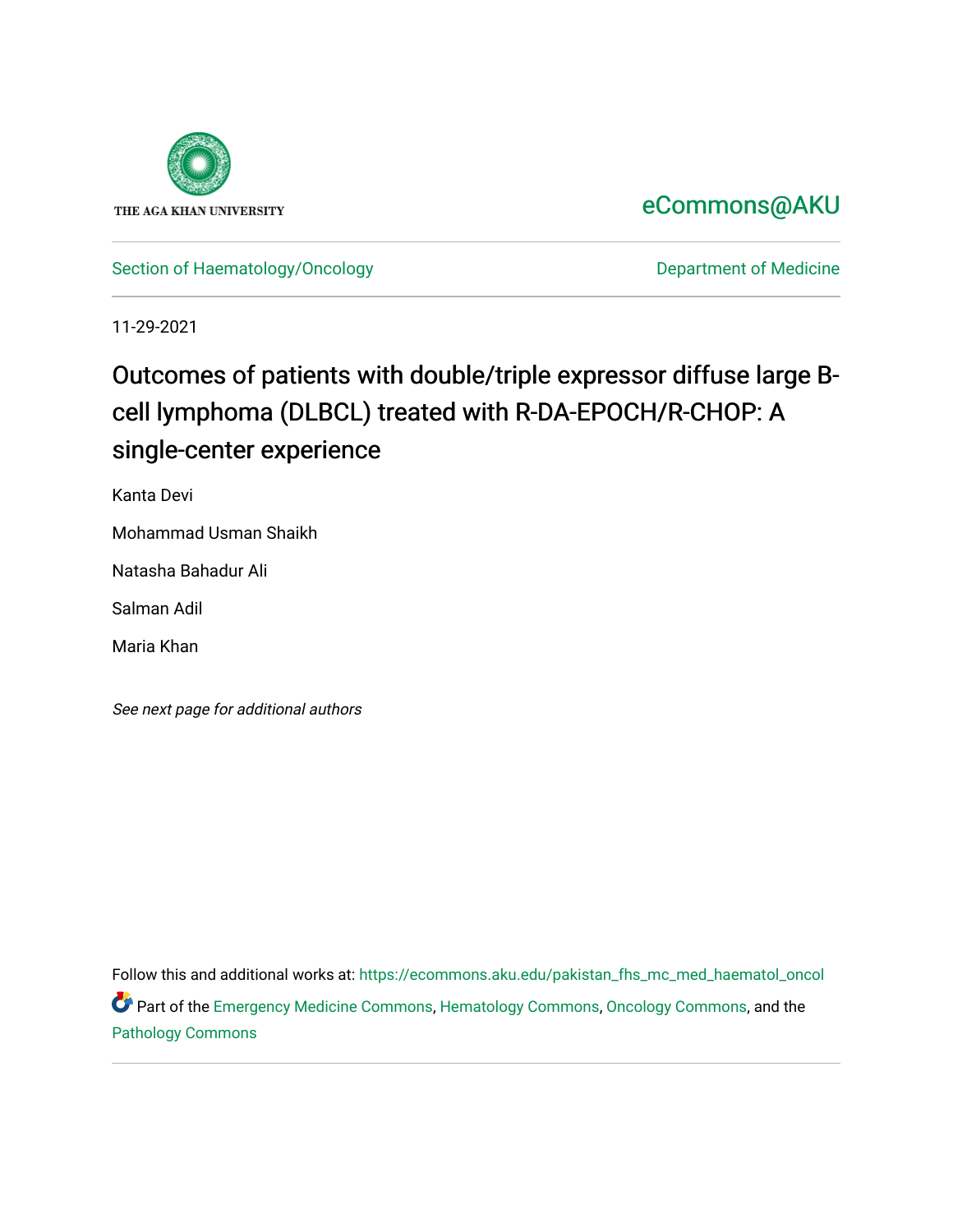

## [eCommons@AKU](https://ecommons.aku.edu/)

[Section of Haematology/Oncology](https://ecommons.aku.edu/pakistan_fhs_mc_med_haematol_oncol) **Department of Medicine** 

11-29-2021

# Outcomes of patients with double/triple expressor diffuse large Bcell lymphoma (DLBCL) treated with R-DA-EPOCH/R-CHOP: A single-center experience

Kanta Devi

Mohammad Usman Shaikh

Natasha Bahadur Ali

Salman Adil

Maria Khan

See next page for additional authors

Follow this and additional works at: [https://ecommons.aku.edu/pakistan\\_fhs\\_mc\\_med\\_haematol\\_oncol](https://ecommons.aku.edu/pakistan_fhs_mc_med_haematol_oncol?utm_source=ecommons.aku.edu%2Fpakistan_fhs_mc_med_haematol_oncol%2F75&utm_medium=PDF&utm_campaign=PDFCoverPages)  Part of the [Emergency Medicine Commons](http://network.bepress.com/hgg/discipline/685?utm_source=ecommons.aku.edu%2Fpakistan_fhs_mc_med_haematol_oncol%2F75&utm_medium=PDF&utm_campaign=PDFCoverPages), [Hematology Commons](http://network.bepress.com/hgg/discipline/1059?utm_source=ecommons.aku.edu%2Fpakistan_fhs_mc_med_haematol_oncol%2F75&utm_medium=PDF&utm_campaign=PDFCoverPages), [Oncology Commons](http://network.bepress.com/hgg/discipline/694?utm_source=ecommons.aku.edu%2Fpakistan_fhs_mc_med_haematol_oncol%2F75&utm_medium=PDF&utm_campaign=PDFCoverPages), and the [Pathology Commons](http://network.bepress.com/hgg/discipline/699?utm_source=ecommons.aku.edu%2Fpakistan_fhs_mc_med_haematol_oncol%2F75&utm_medium=PDF&utm_campaign=PDFCoverPages)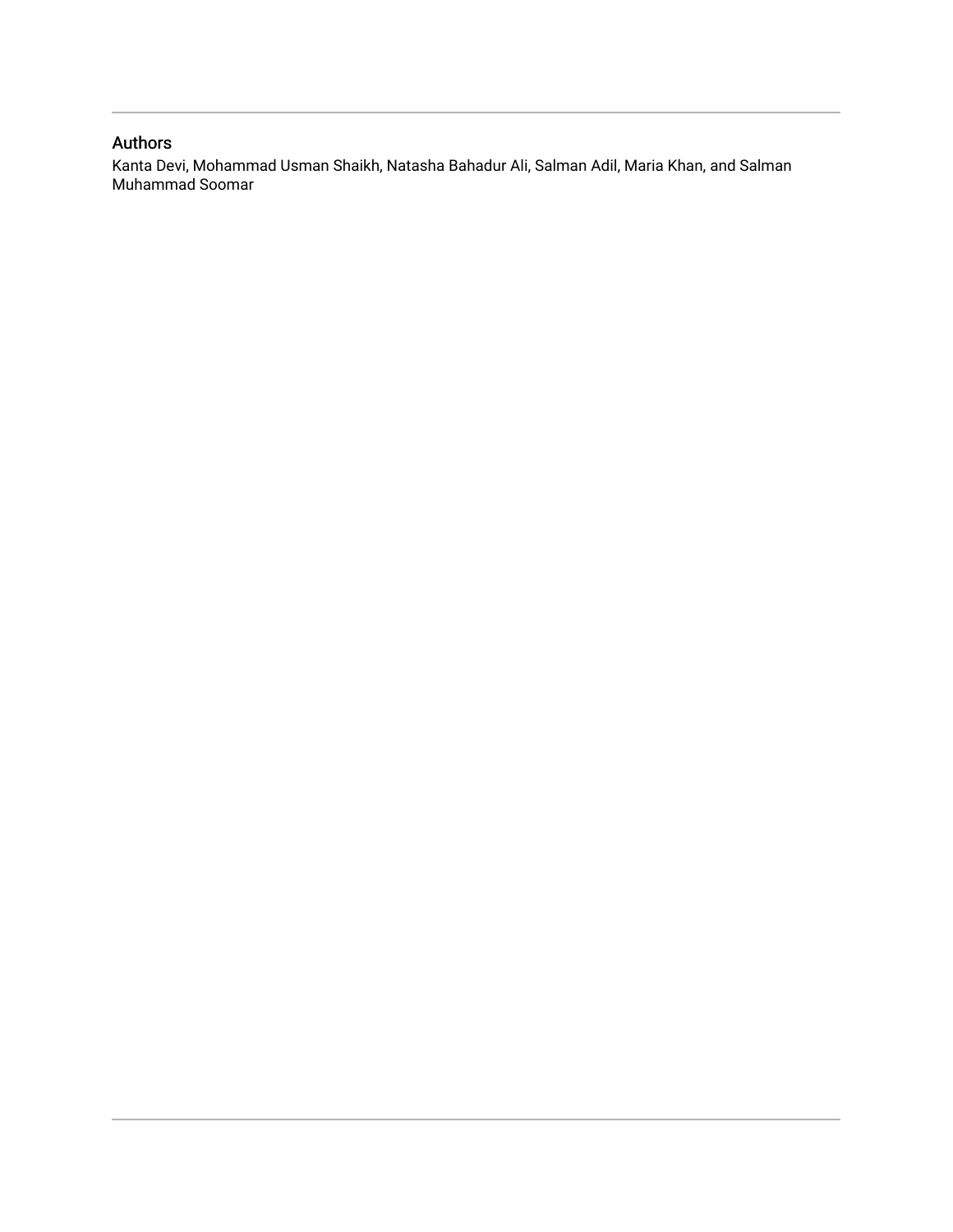### Authors

Kanta Devi, Mohammad Usman Shaikh, Natasha Bahadur Ali, Salman Adil, Maria Khan, and Salman Muhammad Soomar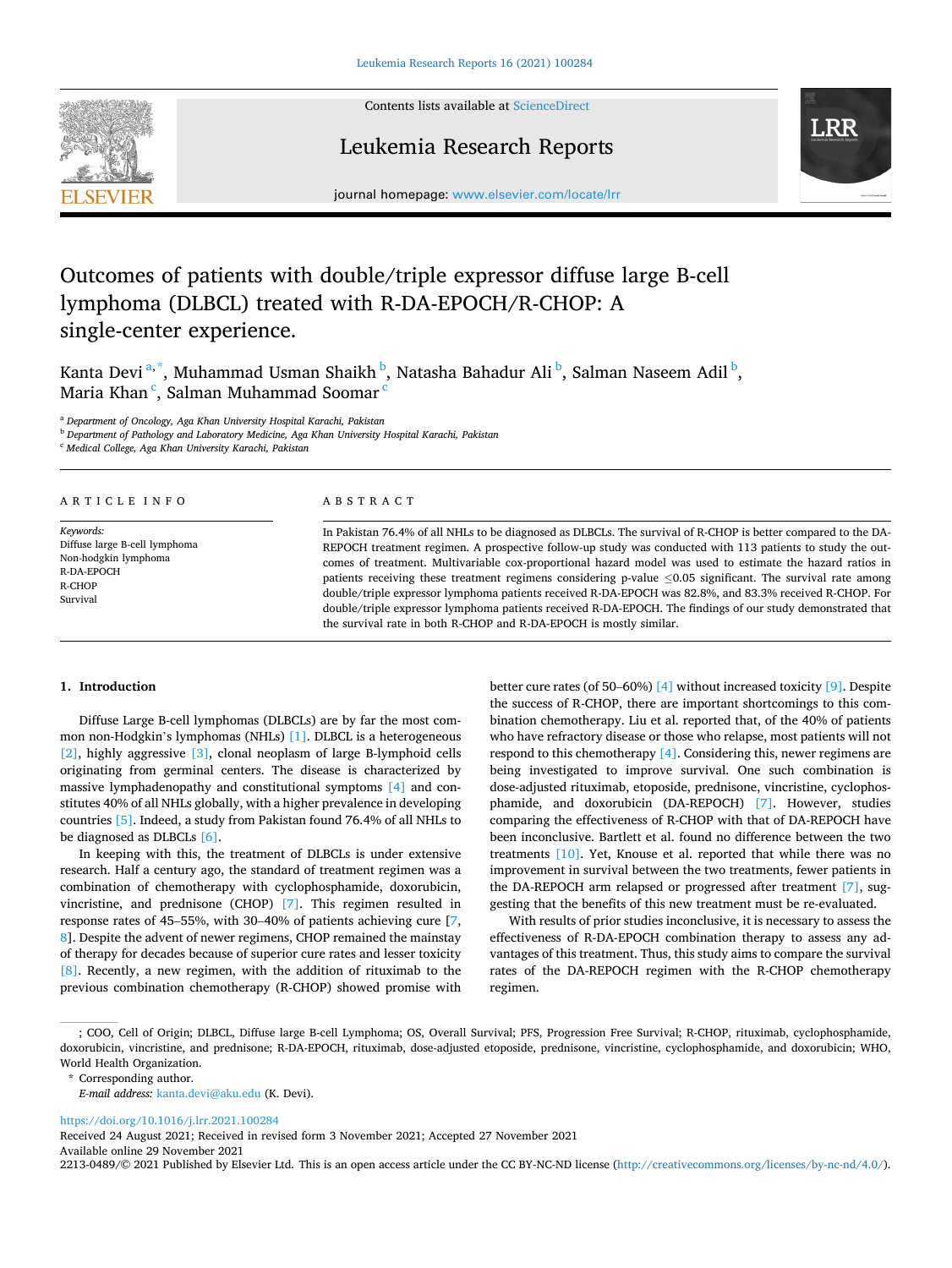

Contents lists available at [ScienceDirect](www.sciencedirect.com/science/journal/22130489)

### Leukemia Research Reports



journal homepage: [www.elsevier.com/locate/lrr](https://www.elsevier.com/locate/lrr) 

## Outcomes of patients with double/triple expressor diffuse large B-cell lymphoma (DLBCL) treated with R-DA-EPOCH/R-CHOP: A single-center experience.

Kanta Devi<sup>a,\*</sup>, Muhammad Usman Shaikh <sup>b</sup>, Natasha Bahadur Ali <sup>b</sup>, Salman Naseem Adil <sup>b</sup>, Maria Khan<sup>c</sup>, Salman Muhammad Soomar<sup>c</sup>

<sup>a</sup> *Department of Oncology, Aga Khan University Hospital Karachi, Pakistan* 

<sup>b</sup> *Department of Pathology and Laboratory Medicine, Aga Khan University Hospital Karachi, Pakistan* 

<sup>c</sup> *Medical College, Aga Khan University Karachi, Pakistan* 

ARTICLE INFO

*Keywords:*  Diffuse large B-cell lymphoma Non-hodgkin lymphoma R-DA-EPOCH R-CHOP Survival

#### ABSTRACT

In Pakistan 76.4% of all NHLs to be diagnosed as DLBCLs. The survival of R-CHOP is better compared to the DA-REPOCH treatment regimen. A prospective follow-up study was conducted with 113 patients to study the outcomes of treatment. Multivariable cox-proportional hazard model was used to estimate the hazard ratios in patients receiving these treatment regimens considering p-value ≤0.05 significant. The survival rate among double/triple expressor lymphoma patients received R-DA-EPOCH was 82.8%, and 83.3% received R-CHOP. For double/triple expressor lymphoma patients received R-DA-EPOCH. The findings of our study demonstrated that the survival rate in both R-CHOP and R-DA-EPOCH is mostly similar.

#### **1. Introduction**

Diffuse Large B-cell lymphomas (DLBCLs) are by far the most common non-Hodgkin's lymphomas (NHLs) [\[1\]](#page-6-0). DLBCL is a heterogeneous [\[2\],](#page-6-0) highly aggressive [\[3\],](#page-6-0) clonal neoplasm of large B-lymphoid cells originating from germinal centers. The disease is characterized by massive lymphadenopathy and constitutional symptoms [\[4\]](#page-6-0) and constitutes 40% of all NHLs globally, with a higher prevalence in developing countries [\[5\]](#page-6-0). Indeed, a study from Pakistan found 76.4% of all NHLs to be diagnosed as DLBCLs [\[6\].](#page-6-0)

In keeping with this, the treatment of DLBCLs is under extensive research. Half a century ago, the standard of treatment regimen was a combination of chemotherapy with cyclophosphamide, doxorubicin, vincristine, and prednisone (CHOP) [\[7\]](#page-6-0). This regimen resulted in response rates of 45–55%, with 30–40% of patients achieving cure [[7](#page-6-0), [8](#page-6-0)]. Despite the advent of newer regimens, CHOP remained the mainstay of therapy for decades because of superior cure rates and lesser toxicity [\[8\].](#page-6-0) Recently, a new regimen, with the addition of rituximab to the previous combination chemotherapy (R-CHOP) showed promise with better cure rates (of 50–60%) [\[4\]](#page-6-0) without increased toxicity [\[9\].](#page-6-0) Despite the success of R-CHOP, there are important shortcomings to this combination chemotherapy. Liu et al. reported that, of the 40% of patients who have refractory disease or those who relapse, most patients will not respond to this chemotherapy [\[4\].](#page-6-0) Considering this, newer regimens are being investigated to improve survival. One such combination is dose-adjusted rituximab, etoposide, prednisone, vincristine, cyclophosphamide, and doxorubicin (DA-REPOCH) [\[7\].](#page-6-0) However, studies comparing the effectiveness of R-CHOP with that of DA-REPOCH have been inconclusive. Bartlett et al. found no difference between the two treatments [\[10\]](#page-6-0). Yet, Knouse et al. reported that while there was no improvement in survival between the two treatments, fewer patients in the DA-REPOCH arm relapsed or progressed after treatment [\[7\],](#page-6-0) suggesting that the benefits of this new treatment must be re-evaluated.

With results of prior studies inconclusive, it is necessary to assess the effectiveness of R-DA-EPOCH combination therapy to assess any advantages of this treatment. Thus, this study aims to compare the survival rates of the DA-REPOCH regimen with the R-CHOP chemotherapy regimen.

<https://doi.org/10.1016/j.lrr.2021.100284>

Available online 29 November 2021 Received 24 August 2021; Received in revised form 3 November 2021; Accepted 27 November 2021

2213-0489/© 2021 Published by Elsevier Ltd. This is an open access article under the CC BY-NC-ND license [\(http://creativecommons.org/licenses/by-nc-nd/4.0/\)](http://creativecommons.org/licenses/by-nc-nd/4.0/).

<sup>;</sup> COO, Cell of Origin; DLBCL, Diffuse large B-cell Lymphoma; OS, Overall Survival; PFS, Progression Free Survival; R-CHOP, rituximab, cyclophosphamide, doxorubicin, vincristine, and prednisone; R-DA-EPOCH, rituximab, dose-adjusted etoposide, prednisone, vincristine, cyclophosphamide, and doxorubicin; WHO, World Health Organization.

<sup>\*</sup> Corresponding author.

*E-mail address:* [kanta.devi@aku.edu](mailto:kanta.devi@aku.edu) (K. Devi).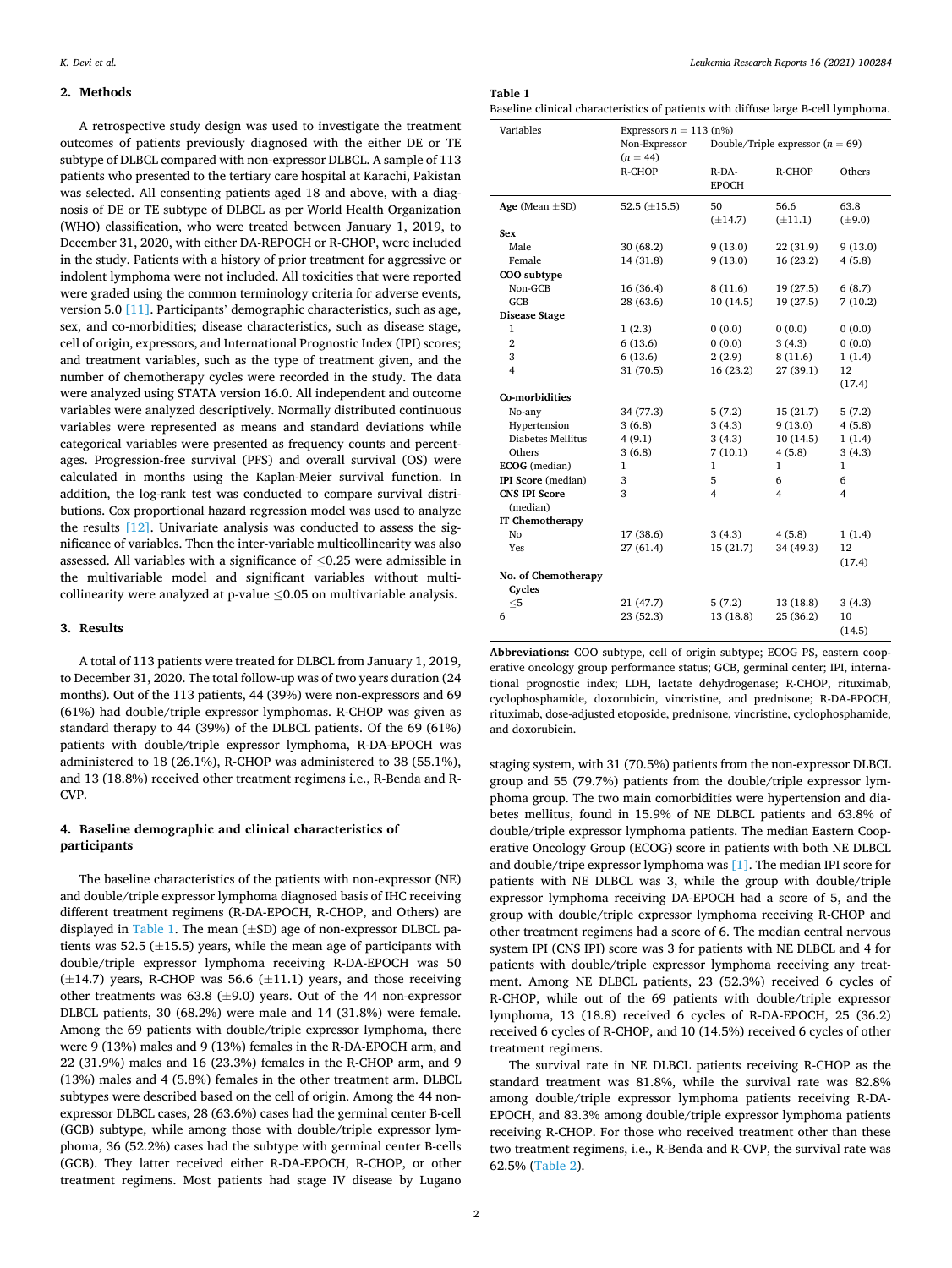#### **2. Methods**

A retrospective study design was used to investigate the treatment outcomes of patients previously diagnosed with the either DE or TE subtype of DLBCL compared with non-expressor DLBCL. A sample of 113 patients who presented to the tertiary care hospital at Karachi, Pakistan was selected. All consenting patients aged 18 and above, with a diagnosis of DE or TE subtype of DLBCL as per World Health Organization (WHO) classification, who were treated between January 1, 2019, to December 31, 2020, with either DA-REPOCH or R-CHOP, were included in the study. Patients with a history of prior treatment for aggressive or indolent lymphoma were not included. All toxicities that were reported were graded using the common terminology criteria for adverse events, version 5.0 [\[11\]](#page-6-0). Participants' demographic characteristics, such as age, sex, and co-morbidities; disease characteristics, such as disease stage, cell of origin, expressors, and International Prognostic Index (IPI) scores; and treatment variables, such as the type of treatment given, and the number of chemotherapy cycles were recorded in the study. The data were analyzed using STATA version 16.0. All independent and outcome variables were analyzed descriptively. Normally distributed continuous variables were represented as means and standard deviations while categorical variables were presented as frequency counts and percentages. Progression-free survival (PFS) and overall survival (OS) were calculated in months using the Kaplan-Meier survival function. In addition, the log-rank test was conducted to compare survival distributions. Cox proportional hazard regression model was used to analyze the results [\[12\]](#page-6-0). Univariate analysis was conducted to assess the significance of variables. Then the inter-variable multicollinearity was also assessed. All variables with a significance of  $\leq 0.25$  were admissible in the multivariable model and significant variables without multicollinearity were analyzed at p-value  $\leq 0.05$  on multivariable analysis.

#### **3. Results**

A total of 113 patients were treated for DLBCL from January 1, 2019, to December 31, 2020. The total follow-up was of two years duration (24 months). Out of the 113 patients, 44 (39%) were non-expressors and 69 (61%) had double/triple expressor lymphomas. R-CHOP was given as standard therapy to 44 (39%) of the DLBCL patients. Of the 69 (61%) patients with double/triple expressor lymphoma, R-DA-EPOCH was administered to 18 (26.1%), R-CHOP was administered to 38 (55.1%), and 13 (18.8%) received other treatment regimens i.e., R-Benda and R-CVP.

#### **4. Baseline demographic and clinical characteristics of participants**

The baseline characteristics of the patients with non-expressor (NE) and double/triple expressor lymphoma diagnosed basis of IHC receiving different treatment regimens (R-DA-EPOCH, R-CHOP, and Others) are displayed in Table 1. The mean  $(\pm SD)$  age of non-expressor DLBCL patients was 52.5 ( $\pm$ 15.5) years, while the mean age of participants with double/triple expressor lymphoma receiving R-DA-EPOCH was 50  $(\pm 14.7)$  years, R-CHOP was 56.6  $(\pm 11.1)$  years, and those receiving other treatments was  $63.8$  ( $\pm$ 9.0) years. Out of the 44 non-expressor DLBCL patients, 30 (68.2%) were male and 14 (31.8%) were female. Among the 69 patients with double/triple expressor lymphoma, there were 9 (13%) males and 9 (13%) females in the R-DA-EPOCH arm, and 22 (31.9%) males and 16 (23.3%) females in the R-CHOP arm, and 9 (13%) males and 4 (5.8%) females in the other treatment arm. DLBCL subtypes were described based on the cell of origin. Among the 44 nonexpressor DLBCL cases, 28 (63.6%) cases had the germinal center B-cell (GCB) subtype, while among those with double/triple expressor lymphoma, 36 (52.2%) cases had the subtype with germinal center B-cells (GCB). They latter received either R-DA-EPOCH, R-CHOP, or other treatment regimens. Most patients had stage IV disease by Lugano

**Table 1** 

Baseline clinical characteristics of patients with diffuse large B-cell lymphoma.

| Variables              | Expressors $n = 113$ (n%)<br>Non-Expressor<br>$(n = 44)$ | Double/Triple expressor $(n = 69)$ |                      |                     |  |
|------------------------|----------------------------------------------------------|------------------------------------|----------------------|---------------------|--|
|                        | R-CHOP                                                   | $R$ -DA-<br><b>EPOCH</b>           | R-CHOP               | Others              |  |
| Age (Mean $\pm$ SD)    | 52.5 $(\pm 15.5)$                                        | 50<br>$(\pm 14.7)$                 | 56.6<br>$(\pm 11.1)$ | 63.8<br>$(\pm 9.0)$ |  |
| Sex                    |                                                          |                                    |                      |                     |  |
| Male                   | 30(68.2)                                                 | 9(13.0)                            | 22 (31.9)            | 9(13.0)             |  |
| Female                 | 14 (31.8)                                                | 9(13.0)                            | 16 (23.2)            | 4(5.8)              |  |
| COO subtype            |                                                          |                                    |                      |                     |  |
| Non-GCB                | 16(36.4)                                                 | 8(11.6)                            | 19(27.5)             | 6(8.7)              |  |
| GCB                    | 28 (63.6)                                                | 10(14.5)                           | 19 (27.5)            | 7(10.2)             |  |
| <b>Disease Stage</b>   |                                                          |                                    |                      |                     |  |
| $\mathbf{1}$           | 1(2.3)                                                   | 0(0.0)                             | 0(0.0)               | 0(0.0)              |  |
| $\overline{2}$         | 6(13.6)                                                  | 0(0.0)                             | 3(4.3)               | 0(0.0)              |  |
| 3                      | 6(13.6)                                                  | 2(2.9)                             | 8(11.6)              | 1(1.4)              |  |
| 4                      | 31 (70.5)                                                | 16 (23.2)                          | 27 (39.1)            | 12                  |  |
|                        |                                                          |                                    |                      | (17.4)              |  |
| Co-morbidities         |                                                          |                                    |                      |                     |  |
| No-any                 | 34 (77.3)                                                | 5(7.2)                             | 15(21.7)             | 5(7.2)              |  |
| Hypertension           | 3(6.8)                                                   | 3(4.3)                             | 9(13.0)              | 4(5.8)              |  |
| Diabetes Mellitus      | 4(9.1)                                                   | 3(4.3)                             | 10(14.5)             | 1(1.4)              |  |
| Others                 | 3(6.8)                                                   | 7(10.1)                            | 4(5.8)               | 3(4.3)              |  |
| ECOG (median)          | 1                                                        | 1                                  | 1                    | 1                   |  |
| IPI Score (median)     | 3                                                        | 5                                  | 6                    | 6                   |  |
| <b>CNS IPI Score</b>   | 3                                                        | $\overline{4}$                     | 4                    | 4                   |  |
| (median)               |                                                          |                                    |                      |                     |  |
| <b>IT Chemotherapy</b> |                                                          |                                    |                      |                     |  |
| No                     | 17 (38.6)                                                | 3(4.3)                             | 4(5.8)               | 1(1.4)              |  |
| Yes                    | 27(61.4)                                                 | 15(21.7)                           | 34 (49.3)            | 12                  |  |
|                        |                                                          |                                    |                      | (17.4)              |  |
| No. of Chemotherapy    |                                                          |                                    |                      |                     |  |
| Cycles                 |                                                          |                                    |                      |                     |  |
| $<$ 5                  | 21(47.7)                                                 | 5(7.2)                             | 13 (18.8)            | 3(4.3)              |  |
| 6                      | 23 (52.3)                                                | 13 (18.8)                          | 25 (36.2)            | 10<br>(14.5)        |  |

**Abbreviations:** COO subtype, cell of origin subtype; ECOG PS, eastern cooperative oncology group performance status; GCB, germinal center; IPI, international prognostic index; LDH, lactate dehydrogenase; R-CHOP, rituximab, cyclophosphamide, doxorubicin, vincristine, and prednisone; R-DA-EPOCH, rituximab, dose-adjusted etoposide, prednisone, vincristine, cyclophosphamide, and doxorubicin.

staging system, with 31 (70.5%) patients from the non-expressor DLBCL group and 55 (79.7%) patients from the double/triple expressor lymphoma group. The two main comorbidities were hypertension and diabetes mellitus, found in 15.9% of NE DLBCL patients and 63.8% of double/triple expressor lymphoma patients. The median Eastern Cooperative Oncology Group (ECOG) score in patients with both NE DLBCL and double/tripe expressor lymphoma was [\[1\].](#page-6-0) The median IPI score for patients with NE DLBCL was 3, while the group with double/triple expressor lymphoma receiving DA-EPOCH had a score of 5, and the group with double/triple expressor lymphoma receiving R-CHOP and other treatment regimens had a score of 6. The median central nervous system IPI (CNS IPI) score was 3 for patients with NE DLBCL and 4 for patients with double/triple expressor lymphoma receiving any treatment. Among NE DLBCL patients, 23 (52.3%) received 6 cycles of R-CHOP, while out of the 69 patients with double/triple expressor lymphoma, 13 (18.8) received 6 cycles of R-DA-EPOCH, 25 (36.2) received 6 cycles of R-CHOP, and 10 (14.5%) received 6 cycles of other treatment regimens.

The survival rate in NE DLBCL patients receiving R-CHOP as the standard treatment was 81.8%, while the survival rate was 82.8% among double/triple expressor lymphoma patients receiving R-DA-EPOCH, and 83.3% among double/triple expressor lymphoma patients receiving R-CHOP. For those who received treatment other than these two treatment regimens, i.e., R-Benda and R-CVP, the survival rate was 62.5% ([Table 2\)](#page-4-0).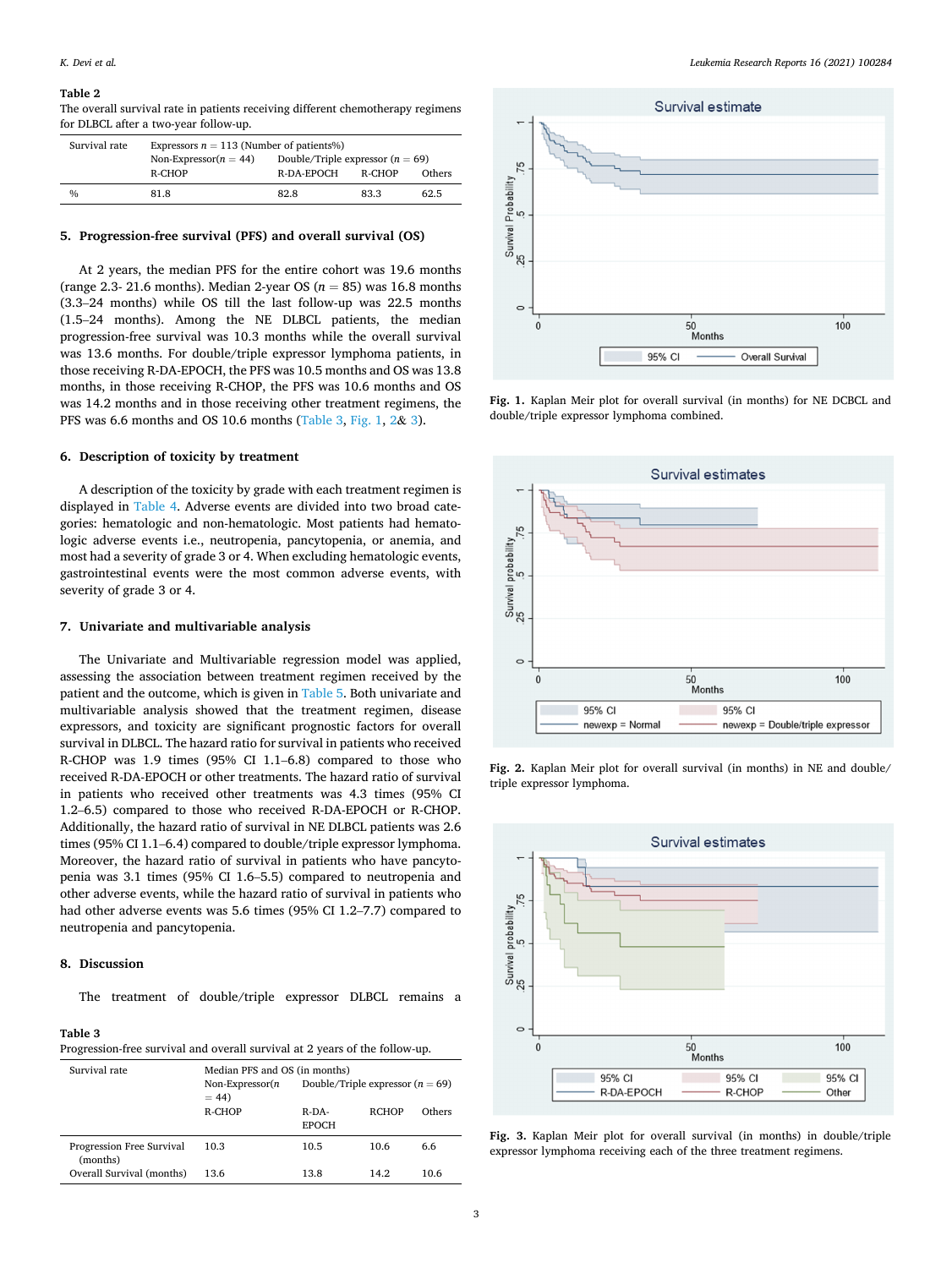#### <span id="page-4-0"></span>**Table 2**

The overall survival rate in patients receiving different chemotherapy regimens for DLBCL after a two-year follow-up.

| Survival rate | Expressors $n = 113$ (Number of patients%)                      |            |        |        |
|---------------|-----------------------------------------------------------------|------------|--------|--------|
|               | Double/Triple expressor $(n = 69)$<br>Non-Expressor( $n = 44$ ) |            |        |        |
|               | R-CHOP                                                          | R-DA-EPOCH | R-CHOP | Others |
| $\frac{0}{0}$ | 81.8                                                            | 82.8       | 83.3   | 62.5   |

#### **5. Progression-free survival (PFS) and overall survival (OS)**

At 2 years, the median PFS for the entire cohort was 19.6 months (range 2.3- 21.6 months). Median 2-year OS (*n* = 85) was 16.8 months (3.3–24 months) while OS till the last follow-up was 22.5 months (1.5–24 months). Among the NE DLBCL patients, the median progression-free survival was 10.3 months while the overall survival was 13.6 months. For double/triple expressor lymphoma patients, in those receiving R-DA-EPOCH, the PFS was 10.5 months and OS was 13.8 months, in those receiving R-CHOP, the PFS was 10.6 months and OS was 14.2 months and in those receiving other treatment regimens, the PFS was 6.6 months and OS 10.6 months (Table 3, Fig. 1, 2& 3).

#### **6. Description of toxicity by treatment**

A description of the toxicity by grade with each treatment regimen is displayed in [Table 4.](#page-5-0) Adverse events are divided into two broad categories: hematologic and non-hematologic. Most patients had hematologic adverse events i.e., neutropenia, pancytopenia, or anemia, and most had a severity of grade 3 or 4. When excluding hematologic events, gastrointestinal events were the most common adverse events, with severity of grade 3 or 4.

#### **7. Univariate and multivariable analysis**

The Univariate and Multivariable regression model was applied, assessing the association between treatment regimen received by the patient and the outcome, which is given in [Table 5.](#page-5-0) Both univariate and multivariable analysis showed that the treatment regimen, disease expressors, and toxicity are significant prognostic factors for overall survival in DLBCL. The hazard ratio for survival in patients who received R-CHOP was 1.9 times (95% CI 1.1–6.8) compared to those who received R-DA-EPOCH or other treatments. The hazard ratio of survival in patients who received other treatments was 4.3 times (95% CI 1.2–6.5) compared to those who received R-DA-EPOCH or R-CHOP. Additionally, the hazard ratio of survival in NE DLBCL patients was 2.6 times (95% CI 1.1–6.4) compared to double/triple expressor lymphoma. Moreover, the hazard ratio of survival in patients who have pancytopenia was 3.1 times (95% CI 1.6–5.5) compared to neutropenia and other adverse events, while the hazard ratio of survival in patients who had other adverse events was 5.6 times (95% CI 1.2–7.7) compared to neutropenia and pancytopenia.

#### **8. Discussion**

The treatment of double/triple expressor DLBCL remains a

#### **Table 3**

Progression-free survival and overall survival at 2 years of the follow-up.

| Survival rate                         | Median PFS and OS (in months)<br>Double/Triple expressor $(n = 69)$<br>Non-Expressor $(n)$<br>$= 44$ |                          |              |        |
|---------------------------------------|------------------------------------------------------------------------------------------------------|--------------------------|--------------|--------|
|                                       | R-CHOP                                                                                               | $R$ -DA-<br><b>EPOCH</b> | <b>RCHOP</b> | Others |
| Progression Free Survival<br>(months) | 10.3                                                                                                 | 10.5                     | 10.6         | 6.6    |
| Overall Survival (months)             | 13.6                                                                                                 | 13.8                     | 14.2         | 10.6   |



**Fig. 1.** Kaplan Meir plot for overall survival (in months) for NE DCBCL and double/triple expressor lymphoma combined.



**Fig. 2.** Kaplan Meir plot for overall survival (in months) in NE and double/ triple expressor lymphoma.



**Fig. 3.** Kaplan Meir plot for overall survival (in months) in double/triple expressor lymphoma receiving each of the three treatment regimens.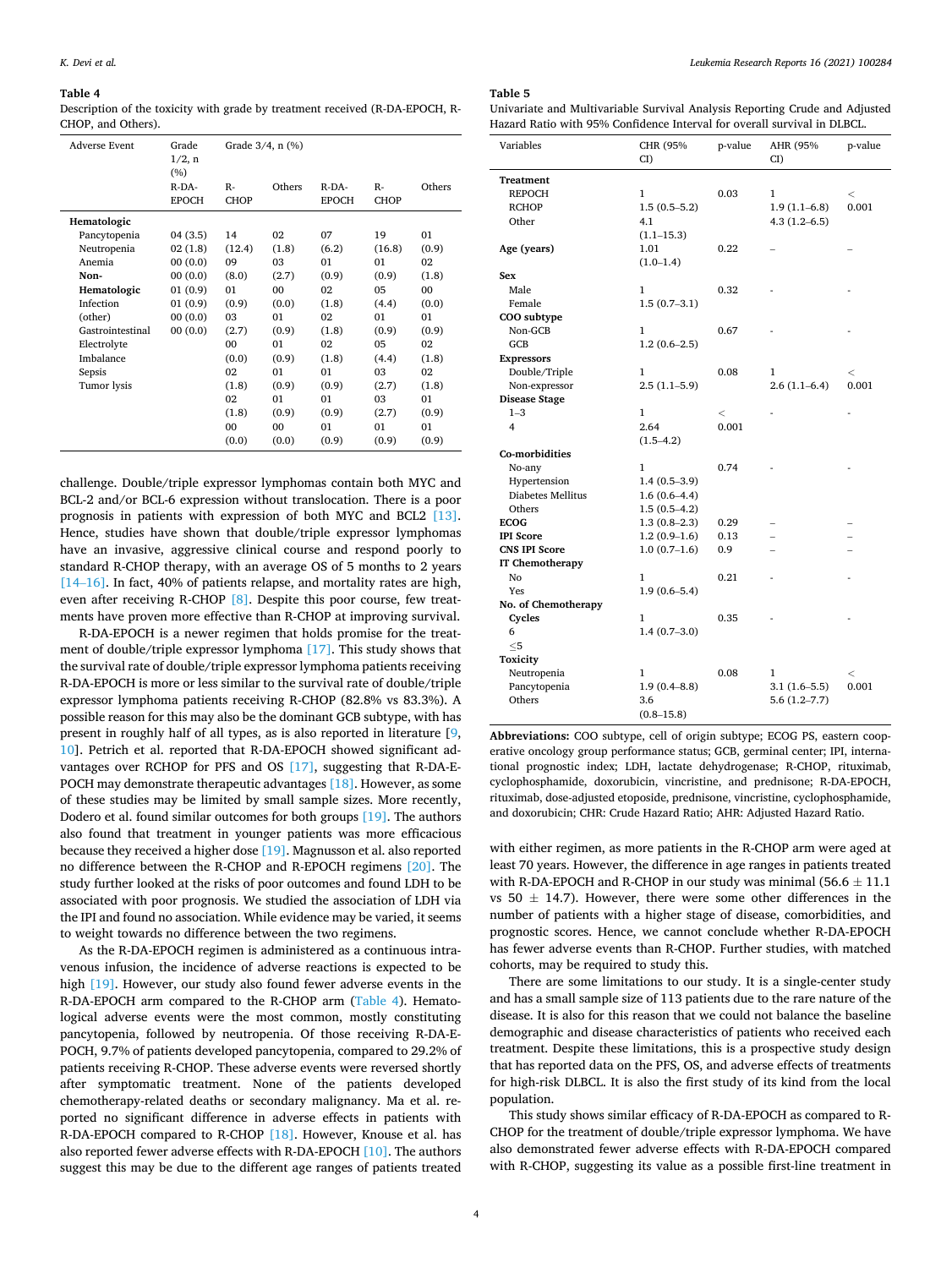#### <span id="page-5-0"></span>**Table 4**

Description of the toxicity with grade by treatment received (R-DA-EPOCH, R-CHOP, and Others).

| Adverse Event    | Grade<br>1/2, n<br>(%) | Grade 3/4, n (%) |                |              |                |        |
|------------------|------------------------|------------------|----------------|--------------|----------------|--------|
|                  | $R-DA-$                | $R -$            | Others         | $R-DA-$      | $R -$          | Others |
|                  | <b>EPOCH</b>           | <b>CHOP</b>      |                | <b>EPOCH</b> | <b>CHOP</b>    |        |
| Hematologic      |                        |                  |                |              |                |        |
| Pancytopenia     | 04 (3.5)               | 14               | 02             | 07           | 19             | 01     |
| Neutropenia      | 02(1.8)                | (12.4)           | (1.8)          | (6.2)        | (16.8)         | (0.9)  |
| Anemia           | 00(0.0)                | 09               | 03             | 01           | 01             | 02     |
| Non-             | 00(0.0)                | (8.0)            | (2.7)          | (0.9)        | (0.9)          | (1.8)  |
| Hematologic      | 01(0.9)                | 01               | 0 <sub>0</sub> | 02           | 0 <sub>5</sub> | 00     |
| Infection        | 01(0.9)                | (0.9)            | (0.0)          | (1.8)        | (4.4)          | (0.0)  |
| (other)          | 00(0.0)                | 03               | $_{01}$        | 02           | 01             | 01     |
| Gastrointestinal | 00(0.0)                | (2.7)            | (0.9)          | (1.8)        | (0.9)          | (0.9)  |
| Electrolyte      |                        | 00               | $_{01}$        | 02           | 05             | 02     |
| Imbalance        |                        | (0.0)            | (0.9)          | (1.8)        | (4.4)          | (1.8)  |
| Sepsis           |                        | 02               | 01             | 01           | 03             | 02     |
| Tumor lysis      |                        | (1.8)            | (0.9)          | (0.9)        | (2.7)          | (1.8)  |
|                  |                        | 02               | 01             | 01           | 03             | 01     |
|                  |                        | (1.8)            | (0.9)          | (0.9)        | (2.7)          | (0.9)  |
|                  |                        | 00               | 00             | 01           | 01             | 01     |
|                  |                        | (0.0)            | (0.0)          | (0.9)        | (0.9)          | (0.9)  |

challenge. Double/triple expressor lymphomas contain both MYC and BCL-2 and/or BCL-6 expression without translocation. There is a poor prognosis in patients with expression of both MYC and BCL2 [\[13\]](#page-6-0). Hence, studies have shown that double/triple expressor lymphomas have an invasive, aggressive clinical course and respond poorly to standard R-CHOP therapy, with an average OS of 5 months to 2 years [14–[16\]](#page-6-0). In fact, 40% of patients relapse, and mortality rates are high, even after receiving R-CHOP [\[8\].](#page-6-0) Despite this poor course, few treatments have proven more effective than R-CHOP at improving survival.

R-DA-EPOCH is a newer regimen that holds promise for the treatment of double/triple expressor lymphoma [\[17\].](#page-6-0) This study shows that the survival rate of double/triple expressor lymphoma patients receiving R-DA-EPOCH is more or less similar to the survival rate of double/triple expressor lymphoma patients receiving R-CHOP (82.8% vs 83.3%). A possible reason for this may also be the dominant GCB subtype, with has present in roughly half of all types, as is also reported in literature [[9](#page-6-0), [10\]](#page-6-0). Petrich et al. reported that R-DA-EPOCH showed significant advantages over RCHOP for PFS and OS [\[17\],](#page-6-0) suggesting that R-DA-E-POCH may demonstrate therapeutic advantages [\[18\].](#page-6-0) However, as some of these studies may be limited by small sample sizes. More recently, Dodero et al. found similar outcomes for both groups [\[19\]](#page-6-0). The authors also found that treatment in younger patients was more efficacious because they received a higher dose [\[19\]](#page-6-0). Magnusson et al. also reported no difference between the R-CHOP and R-EPOCH regimens [\[20\]](#page-6-0). The study further looked at the risks of poor outcomes and found LDH to be associated with poor prognosis. We studied the association of LDH via the IPI and found no association. While evidence may be varied, it seems to weight towards no difference between the two regimens.

As the R-DA-EPOCH regimen is administered as a continuous intravenous infusion, the incidence of adverse reactions is expected to be high [\[19\].](#page-6-0) However, our study also found fewer adverse events in the R-DA-EPOCH arm compared to the R-CHOP arm (Table 4). Hematological adverse events were the most common, mostly constituting pancytopenia, followed by neutropenia. Of those receiving R-DA-E-POCH, 9.7% of patients developed pancytopenia, compared to 29.2% of patients receiving R-CHOP. These adverse events were reversed shortly after symptomatic treatment. None of the patients developed chemotherapy-related deaths or secondary malignancy. Ma et al. reported no significant difference in adverse effects in patients with R-DA-EPOCH compared to R-CHOP [\[18\]](#page-6-0). However, Knouse et al. has also reported fewer adverse effects with R-DA-EPOCH [\[10\].](#page-6-0) The authors suggest this may be due to the different age ranges of patients treated

#### **Table 5**

Univariate and Multivariable Survival Analysis Reporting Crude and Adjusted Hazard Ratio with 95% Confidence Interval for overall survival in DLBCL.

| Variables              | CHR (95%<br>CI)  | p-value | AHR (95%<br>CI)  | p-value |
|------------------------|------------------|---------|------------------|---------|
| <b>Treatment</b>       |                  |         |                  |         |
| <b>REPOCH</b>          | $\mathbf{1}$     | 0.03    | 1                | $\,<\,$ |
| <b>RCHOP</b>           | $1.5(0.5-5.2)$   |         | $1.9(1.1-6.8)$   | 0.001   |
| Other                  | 4.1              |         | $4.3(1.2 - 6.5)$ |         |
|                        | $(1.1 - 15.3)$   |         |                  |         |
| Age (years)            | 1.01             | 0.22    |                  |         |
|                        | $(1.0-1.4)$      |         |                  |         |
| Sex                    |                  |         |                  |         |
| Male                   | 1                | 0.32    |                  |         |
| Female                 | $1.5(0.7-3.1)$   |         |                  |         |
| COO subtype            |                  |         |                  |         |
| Non-GCB                | $\mathbf{1}$     | 0.67    |                  |         |
| GCB                    | $1.2(0.6-2.5)$   |         |                  |         |
| <b>Expressors</b>      |                  |         |                  |         |
| Double/Triple          | 1                | 0.08    | 1                | $\,<$   |
| Non-expressor          | $2.5(1.1-5.9)$   |         | $2.6(1.1-6.4)$   | 0.001   |
| <b>Disease Stage</b>   |                  |         |                  |         |
| $1 - 3$                | $\mathbf{1}$     | $\,<\,$ |                  |         |
| 4                      | 2.64             | 0.001   |                  |         |
|                        | $(1.5 - 4.2)$    |         |                  |         |
| Co-morbidities         |                  |         |                  |         |
| No-any                 | 1                | 0.74    |                  |         |
| Hypertension           | $1.4(0.5-3.9)$   |         |                  |         |
| Diabetes Mellitus      | $1.6(0.6-4.4)$   |         |                  |         |
| Others                 | $1.5(0.5-4.2)$   |         |                  |         |
| <b>ECOG</b>            | $1.3(0.8-2.3)$   | 0.29    |                  |         |
| <b>IPI Score</b>       | $1.2(0.9-1.6)$   | 0.13    |                  |         |
| <b>CNS IPI Score</b>   | $1.0(0.7-1.6)$   | 0.9     |                  |         |
| <b>IT Chemotherapy</b> |                  |         |                  |         |
| N <sub>0</sub>         | 1                | 0.21    |                  |         |
| Yes                    | $1.9(0.6 - 5.4)$ |         |                  |         |
| No. of Chemotherapy    |                  |         |                  |         |
| Cycles                 | 1                | 0.35    |                  |         |
| 6                      | $1.4(0.7-3.0)$   |         |                  |         |
| $\leq$ 5               |                  |         |                  |         |
| Toxicity               |                  |         |                  |         |
| Neutropenia            | 1                | 0.08    | $\mathbf{1}$     | $\,<$   |
| Pancytopenia           | $1.9(0.4 - 8.8)$ |         | $3.1(1.6-5.5)$   | 0.001   |
| Others                 | 3.6              |         | $5.6(1.2 - 7.7)$ |         |
|                        | $(0.8 - 15.8)$   |         |                  |         |

**Abbreviations:** COO subtype, cell of origin subtype; ECOG PS, eastern cooperative oncology group performance status; GCB, germinal center; IPI, international prognostic index; LDH, lactate dehydrogenase; R-CHOP, rituximab, cyclophosphamide, doxorubicin, vincristine, and prednisone; R-DA-EPOCH, rituximab, dose-adjusted etoposide, prednisone, vincristine, cyclophosphamide, and doxorubicin; CHR: Crude Hazard Ratio; AHR: Adjusted Hazard Ratio.

with either regimen, as more patients in the R-CHOP arm were aged at least 70 years. However, the difference in age ranges in patients treated with R-DA-EPOCH and R-CHOP in our study was minimal (56.6  $\pm$  11.1 vs 50  $\pm$  14.7). However, there were some other differences in the number of patients with a higher stage of disease, comorbidities, and prognostic scores. Hence, we cannot conclude whether R-DA-EPOCH has fewer adverse events than R-CHOP. Further studies, with matched cohorts, may be required to study this.

There are some limitations to our study. It is a single-center study and has a small sample size of 113 patients due to the rare nature of the disease. It is also for this reason that we could not balance the baseline demographic and disease characteristics of patients who received each treatment. Despite these limitations, this is a prospective study design that has reported data on the PFS, OS, and adverse effects of treatments for high-risk DLBCL. It is also the first study of its kind from the local population.

This study shows similar efficacy of R-DA-EPOCH as compared to R-CHOP for the treatment of double/triple expressor lymphoma. We have also demonstrated fewer adverse effects with R-DA-EPOCH compared with R-CHOP, suggesting its value as a possible first-line treatment in